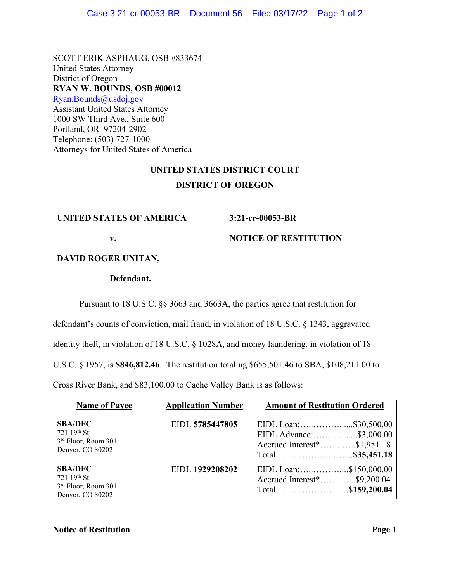SCOTT ERIK ASPHAUG, OSB #833674 United States Attorney District of Oregon **RYAN W. BOUNDS, OSB #00012** [Ryan.Bounds@usdoj.gov](mailto:Ryan.Bounds@usdoj.gov) Assistant United States Attorney 1000 SW Third Ave., Suite 600 Portland, OR 97204-2902 Telephone: (503) 727-1000 Attorneys for United States of America

## **UNITED STATES DISTRICT COURT DISTRICT OF OREGON**

## **UNITED STATES OF AMERICA**

**3:21-cr-00053-BR**

**v.**

**NOTICE OF RESTITUTION**

**DAVID ROGER UNITAN,**

## **Defendant.**

Pursuant to 18 U.S.C. §§ 3663 and 3663A, the parties agree that restitution for

defendant's counts of conviction, mail fraud, in violation of 18 U.S.C. § 1343, aggravated

identity theft, in violation of 18 U.S.C. § 1028A, and money laundering, in violation of 18

U.S.C. § 1957, is **\$846,812.46**. The restitution totaling \$655,501.46 to SBA, \$108,211.00 to

Cross River Bank, and \$83,100.00 to Cache Valley Bank is as follows:

| <b>Name of Payee</b>                                                     | <b>Application Number</b> | <b>Amount of Restitution Ordered</b>                                                                |
|--------------------------------------------------------------------------|---------------------------|-----------------------------------------------------------------------------------------------------|
| <b>SBA/DFC</b><br>721 19th St<br>3rd Floor, Room 301<br>Denver, CO 80202 | EIDL 5785447805           | EIDL Loan:\$30,500.00<br>EIDL Advance:\$3,000.00<br>Accrued Interest*\$1,951.18<br>Total\$35,451.18 |
| <b>SBA/DFC</b><br>721 19th St<br>3rd Floor, Room 301<br>Denver, CO 80202 | EIDL 1929208202           | EIDL Loan:\$150,000.00<br>Accrued Interest*\$9,200.04<br>Total\$159,200.04                          |

## **Notice of Restitution Page 1**